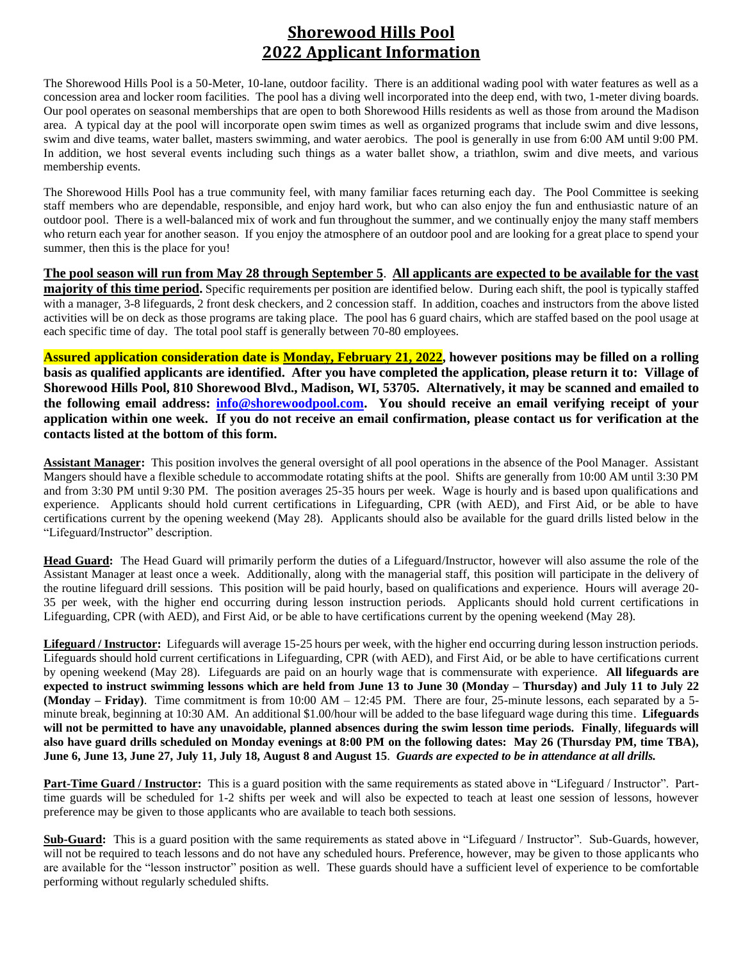### **Shorewood Hills Pool 2022 Applicant Information**

The Shorewood Hills Pool is a 50-Meter, 10-lane, outdoor facility. There is an additional wading pool with water features as well as a concession area and locker room facilities. The pool has a diving well incorporated into the deep end, with two, 1-meter diving boards. Our pool operates on seasonal memberships that are open to both Shorewood Hills residents as well as those from around the Madison area. A typical day at the pool will incorporate open swim times as well as organized programs that include swim and dive lessons, swim and dive teams, water ballet, masters swimming, and water aerobics. The pool is generally in use from 6:00 AM until 9:00 PM. In addition, we host several events including such things as a water ballet show, a triathlon, swim and dive meets, and various membership events.

The Shorewood Hills Pool has a true community feel, with many familiar faces returning each day. The Pool Committee is seeking staff members who are dependable, responsible, and enjoy hard work, but who can also enjoy the fun and enthusiastic nature of an outdoor pool. There is a well-balanced mix of work and fun throughout the summer, and we continually enjoy the many staff members who return each year for another season. If you enjoy the atmosphere of an outdoor pool and are looking for a great place to spend your summer, then this is the place for you!

**The pool season will run from May 28 through September 5**. **All applicants are expected to be available for the vast majority of this time period.** Specific requirements per position are identified below. During each shift, the pool is typically staffed with a manager, 3-8 lifeguards, 2 front desk checkers, and 2 concession staff. In addition, coaches and instructors from the above listed activities will be on deck as those programs are taking place. The pool has 6 guard chairs, which are staffed based on the pool usage at each specific time of day. The total pool staff is generally between 70-80 employees.

**Assured application consideration date is Monday, February 21, 2022, however positions may be filled on a rolling basis as qualified applicants are identified. After you have completed the application, please return it to: Village of Shorewood Hills Pool, 810 Shorewood Blvd., Madison, WI, 53705. Alternatively, it may be scanned and emailed to the following email address: [info@shorewoodpool.com.](mailto:info@shorewoodpool.com) You should receive an email verifying receipt of your application within one week. If you do not receive an email confirmation, please contact us for verification at the contacts listed at the bottom of this form.**

**Assistant Manager:** This position involves the general oversight of all pool operations in the absence of the Pool Manager. Assistant Mangers should have a flexible schedule to accommodate rotating shifts at the pool. Shifts are generally from 10:00 AM until 3:30 PM and from 3:30 PM until 9:30 PM. The position averages 25-35 hours per week. Wage is hourly and is based upon qualifications and experience. Applicants should hold current certifications in Lifeguarding, CPR (with AED), and First Aid, or be able to have certifications current by the opening weekend (May 28). Applicants should also be available for the guard drills listed below in the "Lifeguard/Instructor" description.

**Head Guard:** The Head Guard will primarily perform the duties of a Lifeguard/Instructor, however will also assume the role of the Assistant Manager at least once a week. Additionally, along with the managerial staff, this position will participate in the delivery of the routine lifeguard drill sessions. This position will be paid hourly, based on qualifications and experience. Hours will average 20- 35 per week, with the higher end occurring during lesson instruction periods. Applicants should hold current certifications in Lifeguarding, CPR (with AED), and First Aid, or be able to have certifications current by the opening weekend (May 28).

**Lifeguard / Instructor:** Lifeguards will average 15-25 hours per week, with the higher end occurring during lesson instruction periods. Lifeguards should hold current certifications in Lifeguarding, CPR (with AED), and First Aid, or be able to have certifications current by opening weekend (May 28). Lifeguards are paid on an hourly wage that is commensurate with experience. **All lifeguards are expected to instruct swimming lessons which are held from June 13 to June 30 (Monday – Thursday) and July 11 to July 22 (Monday – Friday)**. Time commitment is from 10:00 AM – 12:45 PM. There are four, 25-minute lessons, each separated by a 5 minute break, beginning at 10:30 AM. An additional \$1.00/hour will be added to the base lifeguard wage during this time. **Lifeguards will not be permitted to have any unavoidable, planned absences during the swim lesson time periods. Finally**, **lifeguards will also have guard drills scheduled on Monday evenings at 8:00 PM on the following dates: May 26 (Thursday PM, time TBA), June 6, June 13, June 27, July 11, July 18, August 8 and August 15**. *Guards are expected to be in attendance at all drills.*

**Part-Time Guard / Instructor:** This is a guard position with the same requirements as stated above in "Lifeguard / Instructor". Parttime guards will be scheduled for 1-2 shifts per week and will also be expected to teach at least one session of lessons, however preference may be given to those applicants who are available to teach both sessions.

**Sub-Guard:** This is a guard position with the same requirements as stated above in "Lifeguard / Instructor". Sub-Guards, however, will not be required to teach lessons and do not have any scheduled hours. Preference, however, may be given to those applicants who are available for the "lesson instructor" position as well. These guards should have a sufficient level of experience to be comfortable performing without regularly scheduled shifts.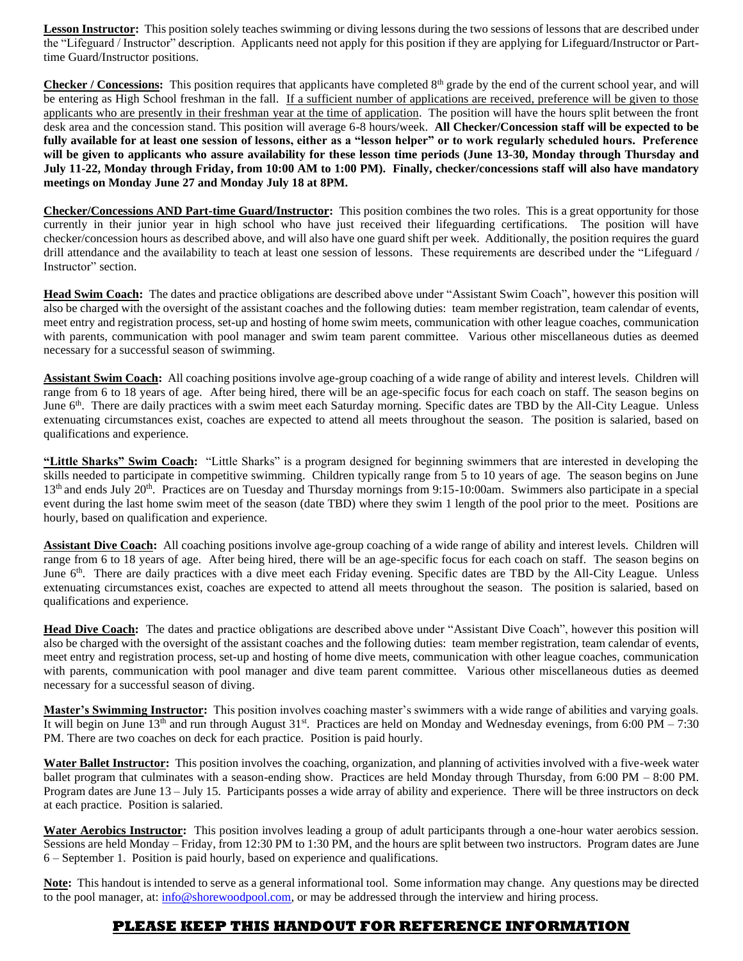Lesson Instructor: This position solely teaches swimming or diving lessons during the two sessions of lessons that are described under the "Lifeguard / Instructor" description. Applicants need not apply for this position if they are applying for Lifeguard/Instructor or Parttime Guard/Instructor positions.

Checker / Concessions: This position requires that applicants have completed 8<sup>th</sup> grade by the end of the current school year, and will be entering as High School freshman in the fall. If a sufficient number of applications are received, preference will be given to those applicants who are presently in their freshman year at the time of application. The position will have the hours split between the front desk area and the concession stand. This position will average 6-8 hours/week. **All Checker/Concession staff will be expected to be fully available for at least one session of lessons, either as a "lesson helper" or to work regularly scheduled hours. Preference will be given to applicants who assure availability for these lesson time periods (June 13-30, Monday through Thursday and July 11-22, Monday through Friday, from 10:00 AM to 1:00 PM). Finally, checker/concessions staff will also have mandatory meetings on Monday June 27 and Monday July 18 at 8PM.**

**Checker/Concessions AND Part-time Guard/Instructor:** This position combines the two roles. This is a great opportunity for those currently in their junior year in high school who have just received their lifeguarding certifications. The position will have checker/concession hours as described above, and will also have one guard shift per week. Additionally, the position requires the guard drill attendance and the availability to teach at least one session of lessons. These requirements are described under the "Lifeguard / Instructor" section.

**Head Swim Coach:** The dates and practice obligations are described above under "Assistant Swim Coach", however this position will also be charged with the oversight of the assistant coaches and the following duties: team member registration, team calendar of events, meet entry and registration process, set-up and hosting of home swim meets, communication with other league coaches, communication with parents, communication with pool manager and swim team parent committee. Various other miscellaneous duties as deemed necessary for a successful season of swimming.

**Assistant Swim Coach:** All coaching positions involve age-group coaching of a wide range of ability and interest levels. Children will range from 6 to 18 years of age. After being hired, there will be an age-specific focus for each coach on staff. The season begins on June 6<sup>th</sup>. There are daily practices with a swim meet each Saturday morning. Specific dates are TBD by the All-City League. Unless extenuating circumstances exist, coaches are expected to attend all meets throughout the season. The position is salaried, based on qualifications and experience.

**"Little Sharks" Swim Coach:** "Little Sharks" is a program designed for beginning swimmers that are interested in developing the skills needed to participate in competitive swimming. Children typically range from 5 to 10 years of age. The season begins on June  $13<sup>th</sup>$  and ends July  $20<sup>th</sup>$ . Practices are on Tuesday and Thursday mornings from 9:15-10:00am. Swimmers also participate in a special event during the last home swim meet of the season (date TBD) where they swim 1 length of the pool prior to the meet. Positions are hourly, based on qualification and experience.

**Assistant Dive Coach:** All coaching positions involve age-group coaching of a wide range of ability and interest levels. Children will range from 6 to 18 years of age. After being hired, there will be an age-specific focus for each coach on staff. The season begins on June 6<sup>th</sup>. There are daily practices with a dive meet each Friday evening. Specific dates are TBD by the All-City League. Unless extenuating circumstances exist, coaches are expected to attend all meets throughout the season. The position is salaried, based on qualifications and experience.

**Head Dive Coach:** The dates and practice obligations are described above under "Assistant Dive Coach", however this position will also be charged with the oversight of the assistant coaches and the following duties: team member registration, team calendar of events, meet entry and registration process, set-up and hosting of home dive meets, communication with other league coaches, communication with parents, communication with pool manager and dive team parent committee. Various other miscellaneous duties as deemed necessary for a successful season of diving.

**Master's Swimming Instructor:** This position involves coaching master's swimmers with a wide range of abilities and varying goals. It will begin on June  $13<sup>th</sup>$  and run through August  $31<sup>st</sup>$ . Practices are held on Monday and Wednesday evenings, from 6:00 PM – 7:30 PM. There are two coaches on deck for each practice. Position is paid hourly.

**Water Ballet Instructor:** This position involves the coaching, organization, and planning of activities involved with a five-week water ballet program that culminates with a season-ending show. Practices are held Monday through Thursday, from 6:00 PM – 8:00 PM. Program dates are June 13 – July 15. Participants posses a wide array of ability and experience. There will be three instructors on deck at each practice. Position is salaried.

**Water Aerobics Instructor:** This position involves leading a group of adult participants through a one-hour water aerobics session. Sessions are held Monday – Friday, from 12:30 PM to 1:30 PM, and the hours are split between two instructors. Program dates are June 6 – September 1. Position is paid hourly, based on experience and qualifications.

**Note:** This handout is intended to serve as a general informational tool. Some information may change. Any questions may be directed to the pool manager, at: [info@shorewoodpool.com,](mailto:info@shorewoodpool.com) or may be addressed through the interview and hiring process.

#### **PLEASE KEEP THIS HANDOUT FOR REFERENCE INFORMATION**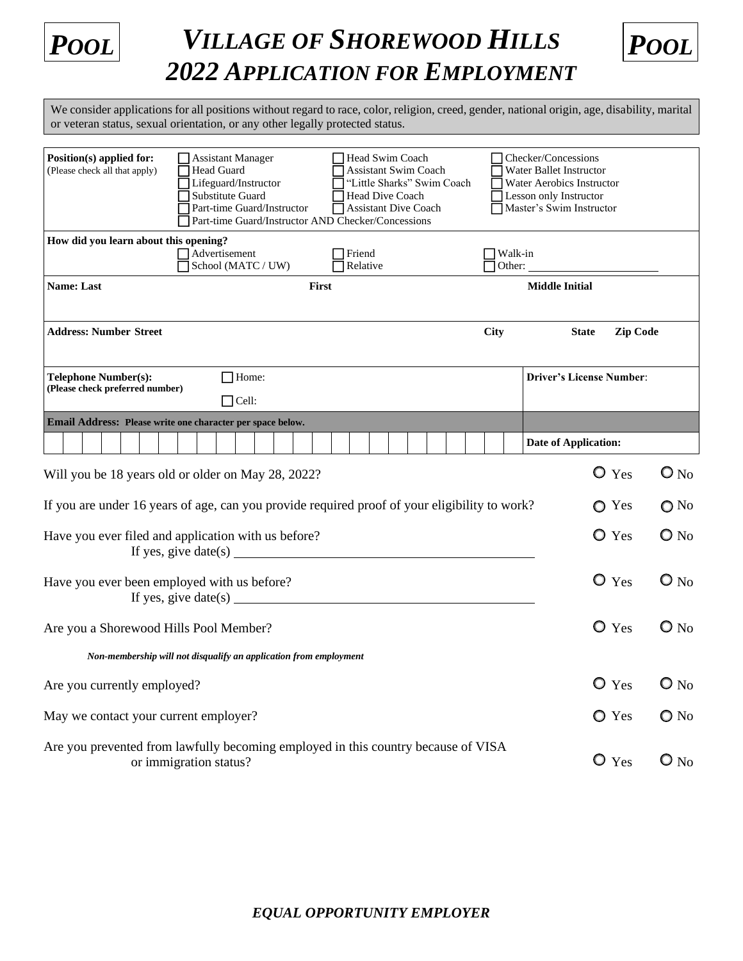

# *POOL POOL VILLAGE OF SHOREWOOD HILLS 2022 APPLICATION FOR EMPLOYMENT*



We consider applications for all positions without regard to race, color, religion, creed, gender, national origin, age, disability, marital or veteran status, sexual orientation, or any other legally protected status.

| Position(s) applied for:<br>(Please check all that apply) | Assistant Manager<br>Head Guard                                                                             | Head Swim Coach<br><b>Assistant Swim Coach</b> |  |             |                   | Checker/Concessions<br>Water Ballet Instructor |
|-----------------------------------------------------------|-------------------------------------------------------------------------------------------------------------|------------------------------------------------|--|-------------|-------------------|------------------------------------------------|
|                                                           | Lifeguard/Instructor                                                                                        | "Little Sharks" Swim Coach                     |  |             |                   | Water Aerobics Instructor                      |
|                                                           | Substitute Guard                                                                                            | Head Dive Coach                                |  |             |                   | Lesson only Instructor                         |
|                                                           | Part-time Guard/Instructor<br>Part-time Guard/Instructor AND Checker/Concessions                            | <b>Assistant Dive Coach</b>                    |  |             |                   | Master's Swim Instructor                       |
| How did you learn about this opening?                     |                                                                                                             |                                                |  |             |                   |                                                |
|                                                           | Advertisement<br>School (MATC / UW)                                                                         | Friend<br>Relative                             |  |             | Walk-in<br>Other: |                                                |
| <b>Name: Last</b>                                         |                                                                                                             | <b>First</b>                                   |  |             |                   | <b>Middle Initial</b>                          |
|                                                           |                                                                                                             |                                                |  |             |                   |                                                |
| <b>Address: Number Street</b>                             |                                                                                                             |                                                |  | <b>City</b> |                   | <b>State</b><br><b>Zip Code</b>                |
| Telephone Number(s):                                      | $\Box$ Home:                                                                                                |                                                |  |             |                   | <b>Driver's License Number:</b>                |
| (Please check preferred number)                           | $\Box$ Cell:                                                                                                |                                                |  |             |                   |                                                |
|                                                           | Email Address: Please write one character per space below.                                                  |                                                |  |             |                   |                                                |
|                                                           |                                                                                                             |                                                |  |             |                   | Date of Application:                           |
|                                                           | Will you be 18 years old or older on May 28, 2022?                                                          |                                                |  |             |                   | $\bullet$ Yes<br>$\mathbf{O}_{\text{No}}$      |
|                                                           | If you are under 16 years of age, can you provide required proof of your eligibility to work?               |                                                |  |             |                   | $\bigcirc$ No<br>◯ Yes                         |
|                                                           | Have you ever filed and application with us before?                                                         |                                                |  |             |                   | O Yes<br>$\bigcirc$ No                         |
|                                                           | If yes, give date(s) $\_\_$                                                                                 |                                                |  |             |                   |                                                |
|                                                           | Have you ever been employed with us before?                                                                 |                                                |  |             |                   | $O$ Yes<br>$\mathbf{O}_{\text{No}}$            |
|                                                           | If yes, give date(s) $\frac{1}{\sqrt{1-\frac{1}{2}} \cdot \frac{1}{2}}$                                     |                                                |  |             |                   |                                                |
| Are you a Shorewood Hills Pool Member?                    |                                                                                                             |                                                |  |             |                   | O Yes<br>$\mathbf{O}$ No                       |
|                                                           | Non-membership will not disqualify an application from employment                                           |                                                |  |             |                   |                                                |
| Are you currently employed?                               |                                                                                                             |                                                |  |             |                   | $\bullet$ Yes<br>$\mathbf{O}$ No               |
| May we contact your current employer?                     |                                                                                                             |                                                |  |             |                   | $\bigcirc$ No<br>◯ Yes                         |
|                                                           | Are you prevented from lawfully becoming employed in this country because of VISA<br>or immigration status? |                                                |  |             |                   | $\bullet$ Yes<br>$\mathbf{O}_{\text{No}}$      |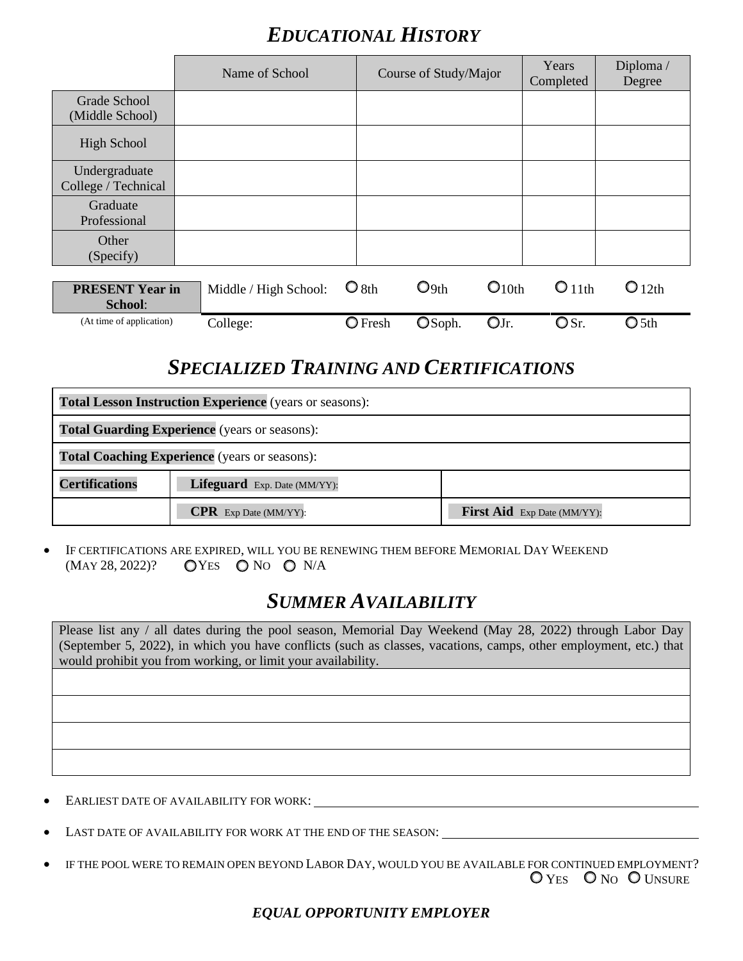## *EDUCATIONAL HISTORY*

|                                      | Name of School        |                  | Course of Study/Major |                   | Years<br>Completed | Diploma/<br>Degree |
|--------------------------------------|-----------------------|------------------|-----------------------|-------------------|--------------------|--------------------|
| Grade School                         |                       |                  |                       |                   |                    |                    |
| (Middle School)                      |                       |                  |                       |                   |                    |                    |
| <b>High School</b>                   |                       |                  |                       |                   |                    |                    |
| Undergraduate<br>College / Technical |                       |                  |                       |                   |                    |                    |
| Graduate                             |                       |                  |                       |                   |                    |                    |
| Professional                         |                       |                  |                       |                   |                    |                    |
| Other                                |                       |                  |                       |                   |                    |                    |
| (Specify)                            |                       |                  |                       |                   |                    |                    |
| <b>PRESENT Year in</b><br>School:    | Middle / High School: | $\bigcirc$ 8th   | $O_{9th}$             | O <sub>10th</sub> | O <sub>11th</sub>  | O <sub>12th</sub>  |
| (At time of application)             | College:              | $\bigcirc$ Fresh | OSoph.                | OJr.              | OSr.               | $\bigcirc$ 5th     |

### *SPECIALIZED TRAINING AND CERTIFICATIONS*

| <b>Total Lesson Instruction Experience</b> (years or seasons): |                                                      |                             |  |
|----------------------------------------------------------------|------------------------------------------------------|-----------------------------|--|
| <b>Total Guarding Experience</b> (years or seasons):           |                                                      |                             |  |
|                                                                | <b>Total Coaching Experience</b> (years or seasons): |                             |  |
| <b>Certifications</b>                                          | Lifeguard Exp. Date (MM/YY):                         |                             |  |
|                                                                | <b>CPR</b> Exp Date (MM/YY):                         | First Aid Exp Date (MM/YY): |  |

• IF CERTIFICATIONS ARE EXPIRED, WILL YOU BE RENEWING THEM BEFORE MEMORIAL DAY WEEKEND  $(MAY 28, 2022)?$  OYES ONO ONA

### *SUMMER AVAILABILITY*

Please list any / all dates during the pool season, Memorial Day Weekend (May 28, 2022) through Labor Day (September 5, 2022), in which you have conflicts (such as classes, vacations, camps, other employment, etc.) that would prohibit you from working, or limit your availability.

- EARLIEST DATE OF AVAILABILITY FOR WORK: \_\_
- LAST DATE OF AVAILABILITY FOR WORK AT THE END OF THE SEASON:
- IF THE POOL WERE TO REMAIN OPEN BEYOND LABOR DAY, WOULD YOU BE AVAILABLE FOR CONTINUED EMPLOYMENT? O YES O NO O UNSURE

#### *EQUAL OPPORTUNITY EMPLOYER*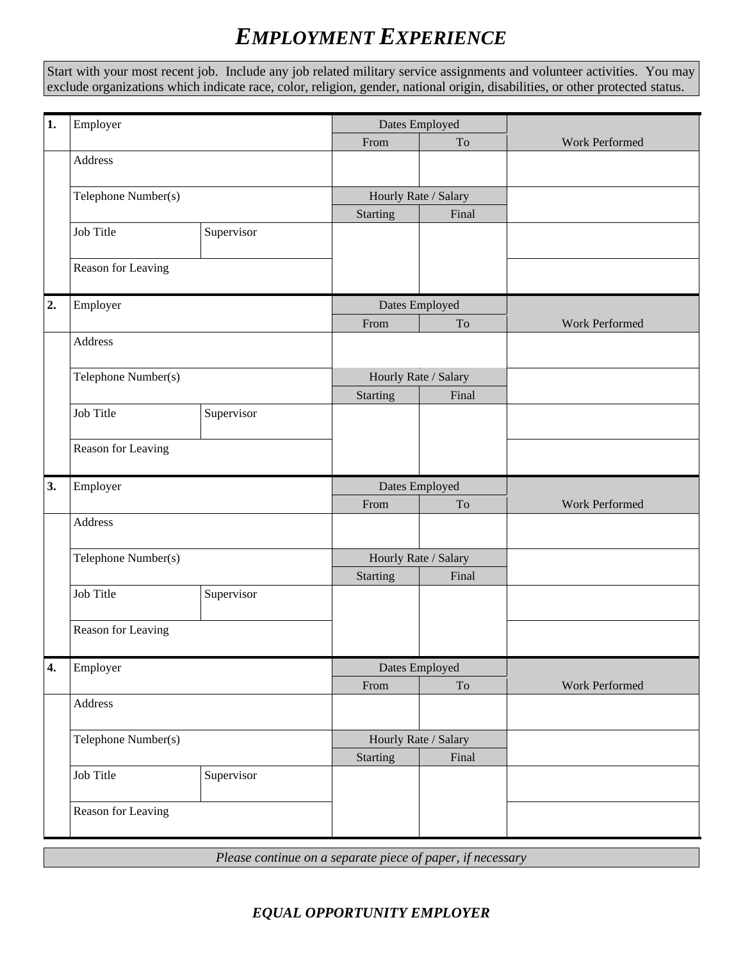## *EMPLOYMENT EXPERIENCE*

Start with your most recent job. Include any job related military service assignments and volunteer activities. You may exclude organizations which indicate race, color, religion, gender, national origin, disabilities, or other protected status.

| $\mathbf{1}$     | Employer            |            | Dates Employed       |                     |                |
|------------------|---------------------|------------|----------------------|---------------------|----------------|
|                  |                     |            | From                 | To                  | Work Performed |
|                  | Address             |            |                      |                     |                |
|                  | Telephone Number(s) |            | Hourly Rate / Salary |                     |                |
|                  |                     |            | <b>Starting</b>      | Final               |                |
|                  | Job Title           | Supervisor |                      |                     |                |
|                  | Reason for Leaving  |            |                      |                     |                |
| 2.               | Employer            |            | Dates Employed       |                     |                |
|                  |                     |            | From                 | To                  | Work Performed |
|                  | Address             |            |                      |                     |                |
|                  | Telephone Number(s) |            | Hourly Rate / Salary |                     |                |
|                  |                     |            | <b>Starting</b>      | Final               |                |
|                  | Job Title           | Supervisor |                      |                     |                |
|                  | Reason for Leaving  |            |                      |                     |                |
| 3.               | Employer            |            | Dates Employed       |                     |                |
|                  |                     |            | From                 | $\operatorname{To}$ | Work Performed |
|                  | Address             |            |                      |                     |                |
|                  | Telephone Number(s) |            | Hourly Rate / Salary |                     |                |
|                  |                     |            | <b>Starting</b>      | Final               |                |
|                  | Job Title           | Supervisor |                      |                     |                |
|                  | Reason for Leaving  |            |                      |                     |                |
| $\overline{4}$ . | Employer            |            | Dates Employed       |                     |                |
|                  |                     |            | From                 | $\operatorname{To}$ | Work Performed |
|                  | Address             |            |                      |                     |                |
|                  | Telephone Number(s) |            | Hourly Rate / Salary |                     |                |
|                  |                     |            | <b>Starting</b>      | Final               |                |
|                  | Job Title           | Supervisor |                      |                     |                |
|                  | Reason for Leaving  |            |                      |                     |                |

*Please continue on a separate piece of paper, if necessary*

#### *EQUAL OPPORTUNITY EMPLOYER*